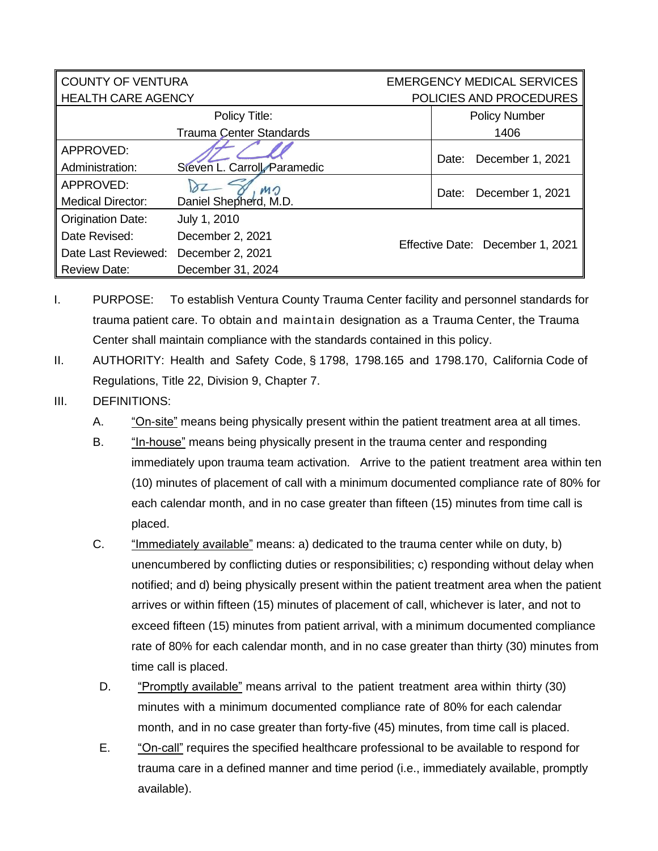| <b>COUNTY OF VENTURA</b>  |                                | <b>EMERGENCY MEDICAL SERVICES</b> |                      |  |
|---------------------------|--------------------------------|-----------------------------------|----------------------|--|
| <b>HEALTH CARE AGENCY</b> |                                | POLICIES AND PROCEDURES           |                      |  |
|                           | Policy Title:                  |                                   | <b>Policy Number</b> |  |
|                           | <b>Trauma Center Standards</b> |                                   | 1406                 |  |
| APPROVED:                 |                                |                                   | December 1, 2021     |  |
| Administration:           | Steven L. Carroll Paramedic    | Date:                             |                      |  |
| APPROVED:                 | MO                             | Date:                             | December 1, 2021     |  |
| <b>Medical Director:</b>  | Daniel Shepherd, M.D.          |                                   |                      |  |
| <b>Origination Date:</b>  | July 1, 2010                   |                                   |                      |  |
| Date Revised:             | December 2, 2021               | Effective Date: December 1, 2021  |                      |  |
| Date Last Reviewed:       | December 2, 2021               |                                   |                      |  |
| <b>Review Date:</b>       | December 31, 2024              |                                   |                      |  |

- I. PURPOSE: To establish Ventura County Trauma Center facility and personnel standards for trauma patient care. To obtain and maintain designation as a Trauma Center, the Trauma Center shall maintain compliance with the standards contained in this policy.
- II. AUTHORITY: Health and Safety Code, § 1798, 1798.165 and 1798.170, California Code of Regulations, Title 22, Division 9, Chapter 7.
- III. DEFINITIONS:
	- A. "On-site" means being physically present within the patient treatment area at all times.
	- B. "In-house" means being physically present in the trauma center and responding immediately upon trauma team activation. Arrive to the patient treatment area within ten (10) minutes of placement of call with a minimum documented compliance rate of 80% for each calendar month, and in no case greater than fifteen (15) minutes from time call is placed.
	- C. "Immediately available" means: a) dedicated to the trauma center while on duty, b) unencumbered by conflicting duties or responsibilities; c) responding without delay when notified; and d) being physically present within the patient treatment area when the patient arrives or within fifteen (15) minutes of placement of call, whichever is later, and not to exceed fifteen (15) minutes from patient arrival, with a minimum documented compliance rate of 80% for each calendar month, and in no case greater than thirty (30) minutes from time call is placed.
	- D. "Promptly available" means arrival to the patient treatment area within thirty (30) minutes with a minimum documented compliance rate of 80% for each calendar month, and in no case greater than forty-five (45) minutes, from time call is placed.
	- E. "On-call" requires the specified healthcare professional to be available to respond for trauma care in a defined manner and time period (i.e., immediately available, promptly available).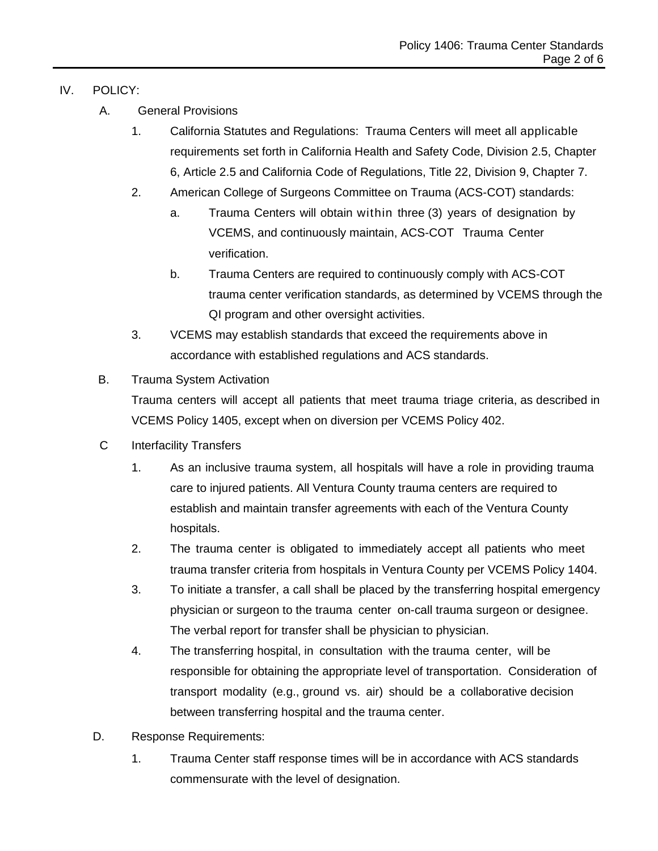## IV. POLICY:

- A. General Provisions
	- 1. California Statutes and Regulations: Trauma Centers will meet all applicable requirements set forth in California Health and Safety Code, Division 2.5, Chapter 6, Article 2.5 and California Code of Regulations, Title 22, Division 9, Chapter 7.
	- 2. American College of Surgeons Committee on Trauma (ACS-COT) standards:
		- a. Trauma Centers will obtain within three (3) years of designation by VCEMS, and continuously maintain, ACS-COT Trauma Center verification.
		- b. Trauma Centers are required to continuously comply with ACS-COT trauma center verification standards, as determined by VCEMS through the QI program and other oversight activities.
	- 3. VCEMS may establish standards that exceed the requirements above in accordance with established regulations and ACS standards.

## B. Trauma System Activation

Trauma centers will accept all patients that meet trauma triage criteria, as described in VCEMS Policy 1405, except when on diversion per VCEMS Policy 402.

- C Interfacility Transfers
	- 1. As an inclusive trauma system, all hospitals will have a role in providing trauma care to injured patients. All Ventura County trauma centers are required to establish and maintain transfer agreements with each of the Ventura County hospitals.
	- 2. The trauma center is obligated to immediately accept all patients who meet trauma transfer criteria from hospitals in Ventura County per VCEMS Policy 1404.
	- 3. To initiate a transfer, a call shall be placed by the transferring hospital emergency physician or surgeon to the trauma center on-call trauma surgeon or designee. The verbal report for transfer shall be physician to physician.
	- 4. The transferring hospital, in consultation with the trauma center, will be responsible for obtaining the appropriate level of transportation. Consideration of transport modality (e.g., ground vs. air) should be a collaborative decision between transferring hospital and the trauma center.
- D. Response Requirements:
	- 1. Trauma Center staff response times will be in accordance with ACS standards commensurate with the level of designation.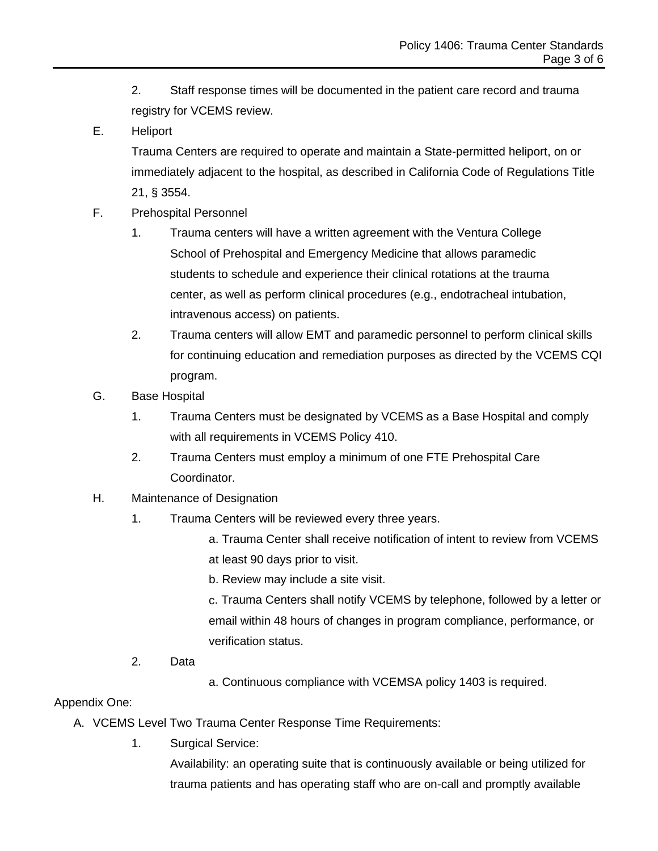- 2. Staff response times will be documented in the patient care record and trauma registry for VCEMS review.
- E. Heliport

Trauma Centers are required to operate and maintain a State-permitted heliport, on or immediately adjacent to the hospital, as described in California Code of Regulations Title 21, § 3554.

- F. Prehospital Personnel
	- 1. Trauma centers will have a written agreement with the Ventura College School of Prehospital and Emergency Medicine that allows paramedic students to schedule and experience their clinical rotations at the trauma center, as well as perform clinical procedures (e.g., endotracheal intubation, intravenous access) on patients.
	- 2. Trauma centers will allow EMT and paramedic personnel to perform clinical skills for continuing education and remediation purposes as directed by the VCEMS CQI program.
- G. Base Hospital
	- 1. Trauma Centers must be designated by VCEMS as a Base Hospital and comply with all requirements in VCEMS Policy 410.
	- 2. Trauma Centers must employ a minimum of one FTE Prehospital Care Coordinator.
- H. Maintenance of Designation
	- 1. Trauma Centers will be reviewed every three years.
		- a. Trauma Center shall receive notification of intent to review from VCEMS at least 90 days prior to visit.
		- b. Review may include a site visit.

c. Trauma Centers shall notify VCEMS by telephone, followed by a letter or email within 48 hours of changes in program compliance, performance, or verification status.

- 2. Data
- a. Continuous compliance with VCEMSA policy 1403 is required.

## Appendix One:

- A. VCEMS Level Two Trauma Center Response Time Requirements:
	- 1. Surgical Service:

Availability: an operating suite that is continuously available or being utilized for trauma patients and has operating staff who are on-call and promptly available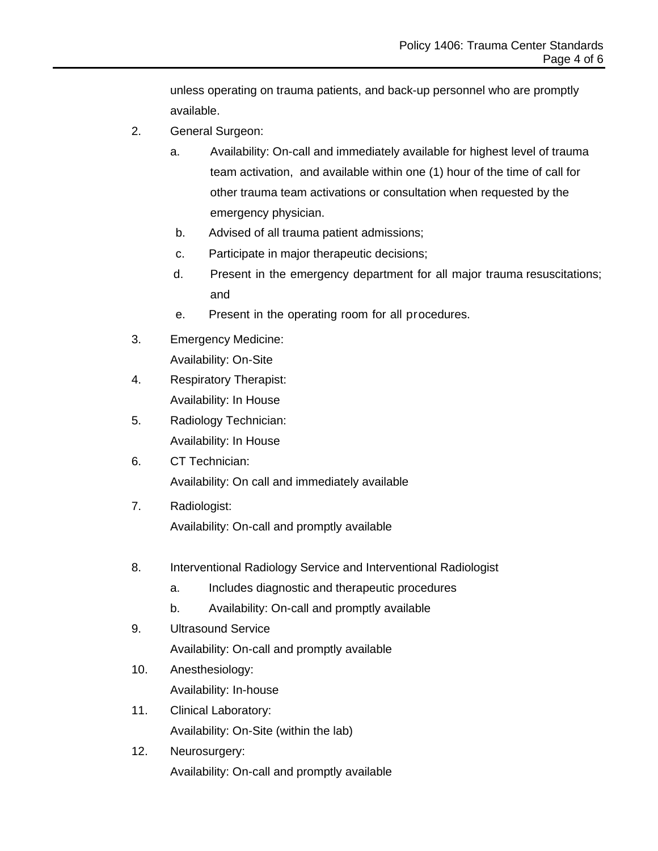unless operating on trauma patients, and back-up personnel who are promptly available.

- 2. General Surgeon:
	- a. Availability: On-call and immediately available for highest level of trauma team activation, and available within one (1) hour of the time of call for other trauma team activations or consultation when requested by the emergency physician.
	- b. Advised of all trauma patient admissions;
	- c. Participate in major therapeutic decisions;
	- d. Present in the emergency department for all major trauma resuscitations; and
	- e. Present in the operating room for all procedures.
- 3. Emergency Medicine: Availability: On-Site
- 4. Respiratory Therapist: Availability: In House
- 5. Radiology Technician: Availability: In House
- 6. CT Technician: Availability: On call and immediately available
- 7. Radiologist: Availability: On-call and promptly available
- 8. Interventional Radiology Service and Interventional Radiologist
	- a. Includes diagnostic and therapeutic procedures
	- b. Availability: On-call and promptly available
- 9. Ultrasound Service
	- Availability: On-call and promptly available
- 10. Anesthesiology: Availability: In-house
- 11. Clinical Laboratory: Availability: On-Site (within the lab)
- 12. Neurosurgery: Availability: On-call and promptly available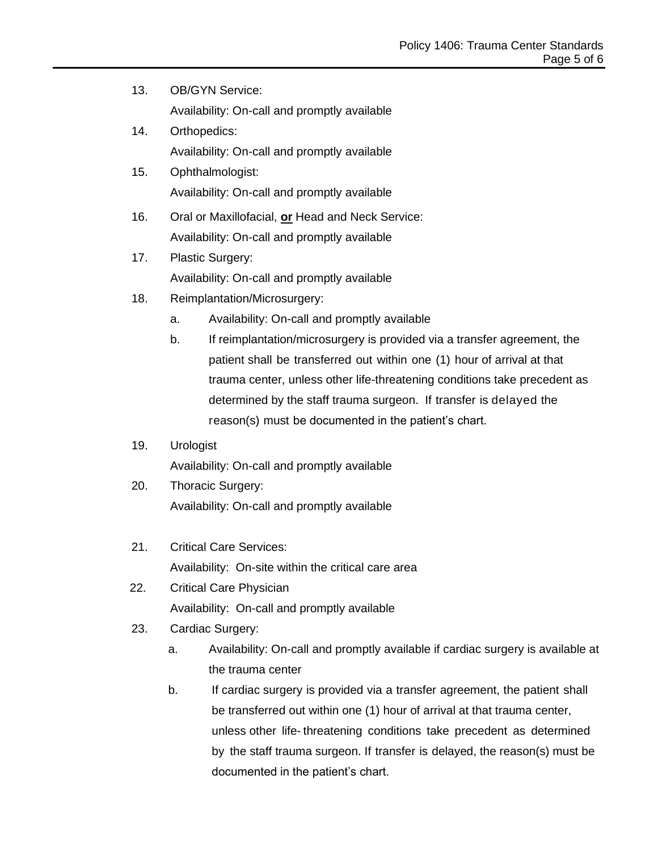- 13. OB/GYN Service: Availability: On-call and promptly available
- 14. Orthopedics: Availability: On-call and promptly available
- 15. Ophthalmologist: Availability: On-call and promptly available
- 16. Oral or Maxillofacial, **or** Head and Neck Service: Availability: On-call and promptly available
- 17. Plastic Surgery: Availability: On-call and promptly available
- 18. Reimplantation/Microsurgery:
	- a. Availability: On-call and promptly available
	- b. If reimplantation/microsurgery is provided via a transfer agreement, the patient shall be transferred out within one (1) hour of arrival at that trauma center, unless other life-threatening conditions take precedent as determined by the staff trauma surgeon. If transfer is delayed the reason(s) must be documented in the patient's chart.
- 19. Urologist

Availability: On-call and promptly available

- 20. Thoracic Surgery: Availability: On-call and promptly available
- 21. Critical Care Services: Availability: On-site within the critical care area
- 22. Critical Care Physician Availability: On-call and promptly available
- 23. Cardiac Surgery:
	- a. Availability: On-call and promptly available if cardiac surgery is available at the trauma center
	- b. If cardiac surgery is provided via a transfer agreement, the patient shall be transferred out within one (1) hour of arrival at that trauma center, unless other life- threatening conditions take precedent as determined by the staff trauma surgeon. If transfer is delayed, the reason(s) must be documented in the patient's chart.